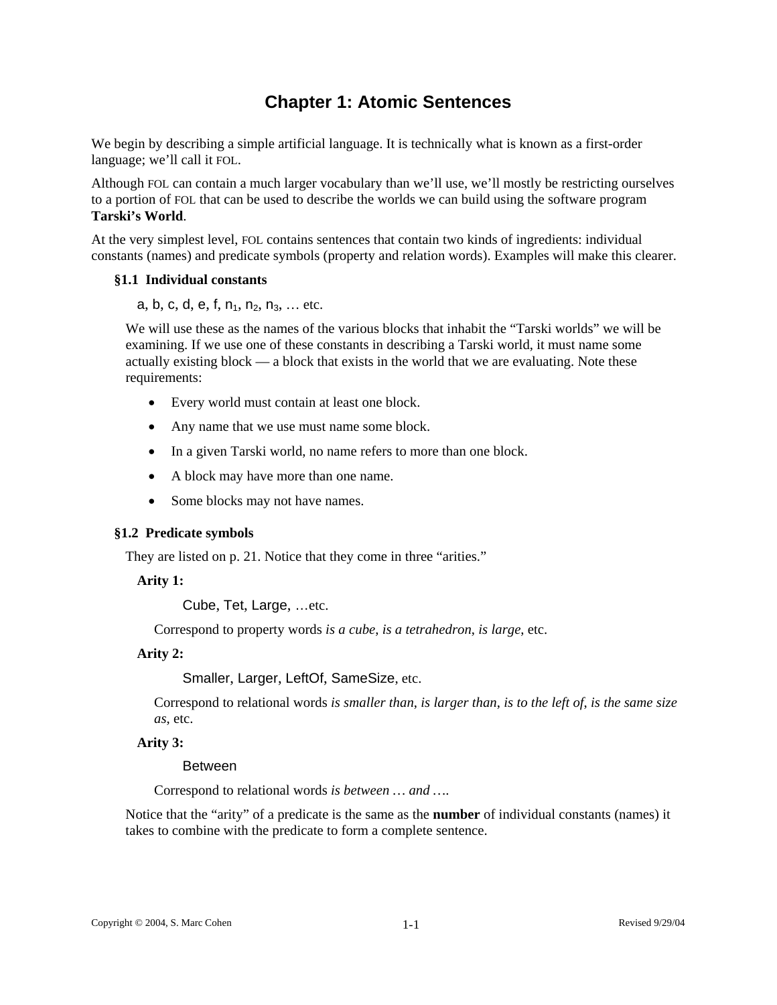# **Chapter 1: Atomic Sentences**

We begin by describing a simple artificial language. It is technically what is known as a first-order language; we'll call it FOL.

Although FOL can contain a much larger vocabulary than we'll use, we'll mostly be restricting ourselves to a portion of FOL that can be used to describe the worlds we can build using the software program **Tarski's World**.

At the very simplest level, FOL contains sentences that contain two kinds of ingredients: individual constants (names) and predicate symbols (property and relation words). Examples will make this clearer.

## **§1.1 Individual constants**

a, b, c, d, e, f,  $n_1$ ,  $n_2$ ,  $n_3$ , ... etc.

We will use these as the names of the various blocks that inhabit the "Tarski worlds" we will be examining. If we use one of these constants in describing a Tarski world, it must name some actually existing block — a block that exists in the world that we are evaluating. Note these requirements:

- Every world must contain at least one block.
- Any name that we use must name some block.
- In a given Tarski world, no name refers to more than one block.
- A block may have more than one name.
- Some blocks may not have names.

#### **§1.2 Predicate symbols**

They are listed on p. 21. Notice that they come in three "arities."

#### **Arity 1:**

Cube, Tet, Large, …etc.

Correspond to property words *is a cube*, *is a tetrahedron*, *is large*, etc.

### **Arity 2:**

Smaller, Larger, LeftOf, SameSize, etc.

Correspond to relational words *is smaller than*, *is larger than*, *is to the left of*, *is the same size as*, etc.

#### **Arity 3:**

#### Between

Correspond to relational words *is between … and …*.

Notice that the "arity" of a predicate is the same as the **number** of individual constants (names) it takes to combine with the predicate to form a complete sentence.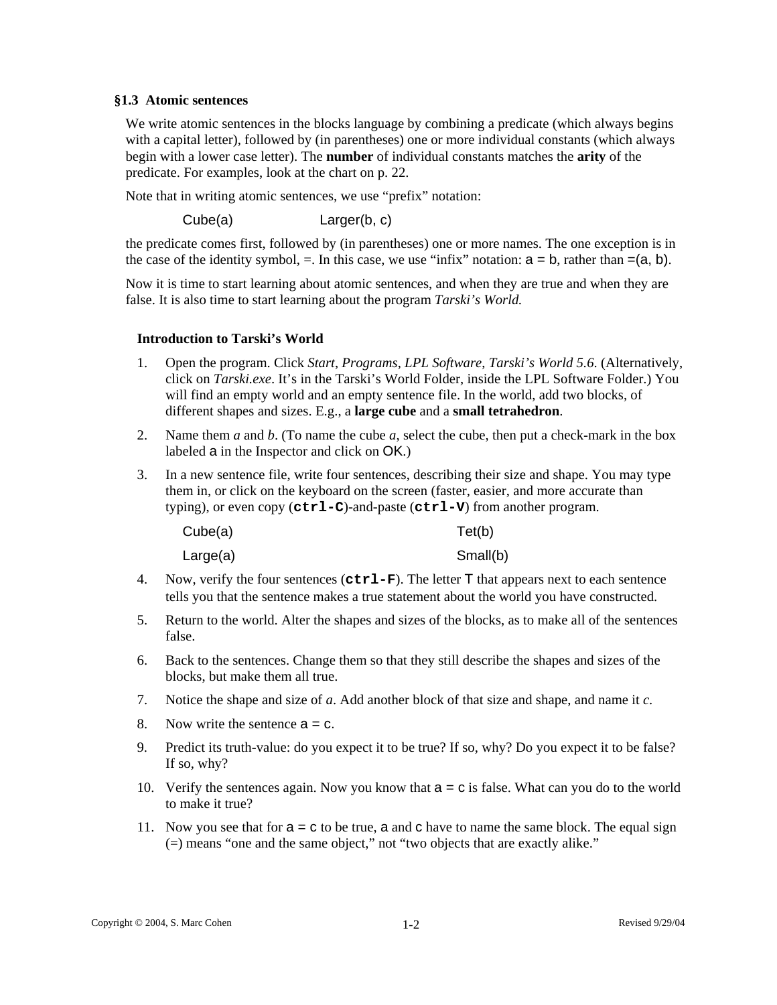## **§1.3 Atomic sentences**

We write atomic sentences in the blocks language by combining a predicate (which always begins with a capital letter), followed by (in parentheses) one or more individual constants (which always begin with a lower case letter). The **number** of individual constants matches the **arity** of the predicate. For examples, look at the chart on p. 22.

Note that in writing atomic sentences, we use "prefix" notation:

Cube(a) Larger(b, c)

the predicate comes first, followed by (in parentheses) one or more names. The one exception is in the case of the identity symbol,  $=$ . In this case, we use "infix" notation:  $a = b$ , rather than  $= (a, b)$ .

Now it is time to start learning about atomic sentences, and when they are true and when they are false. It is also time to start learning about the program *Tarski's World.* 

## **Introduction to Tarski's World**

- 1. Open the program. Click *Start*, *Programs*, *LPL Software*, *Tarski's World 5.6*. (Alternatively, click on *Tarski.exe*. It's in the Tarski's World Folder, inside the LPL Software Folder.) You will find an empty world and an empty sentence file. In the world, add two blocks, of different shapes and sizes. E.g., a **large cube** and a **small tetrahedron**.
- 2. Name them *a* and *b*. (To name the cube *a*, select the cube, then put a check-mark in the box labeled a in the Inspector and click on OK.)
- 3. In a new sentence file, write four sentences, describing their size and shape. You may type them in, or click on the keyboard on the screen (faster, easier, and more accurate than typing), or even copy (**ctrl-C**)-and-paste (**ctrl-V**) from another program.

| Cube(a)  | Tet(b)   |
|----------|----------|
| Large(a) | Small(b) |

- 4. Now, verify the four sentences (**ctrl-F**). The letter T that appears next to each sentence tells you that the sentence makes a true statement about the world you have constructed.
- 5. Return to the world. Alter the shapes and sizes of the blocks, as to make all of the sentences false.
- 6. Back to the sentences. Change them so that they still describe the shapes and sizes of the blocks, but make them all true.
- 7. Notice the shape and size of *a*. Add another block of that size and shape, and name it *c*.
- 8. Now write the sentence  $a = c$ .
- 9. Predict its truth-value: do you expect it to be true? If so, why? Do you expect it to be false? If so, why?
- 10. Verify the sentences again. Now you know that  $a = c$  is false. What can you do to the world to make it true?
- 11. Now you see that for  $a = c$  to be true, a and c have to name the same block. The equal sign (=) means "one and the same object," not "two objects that are exactly alike."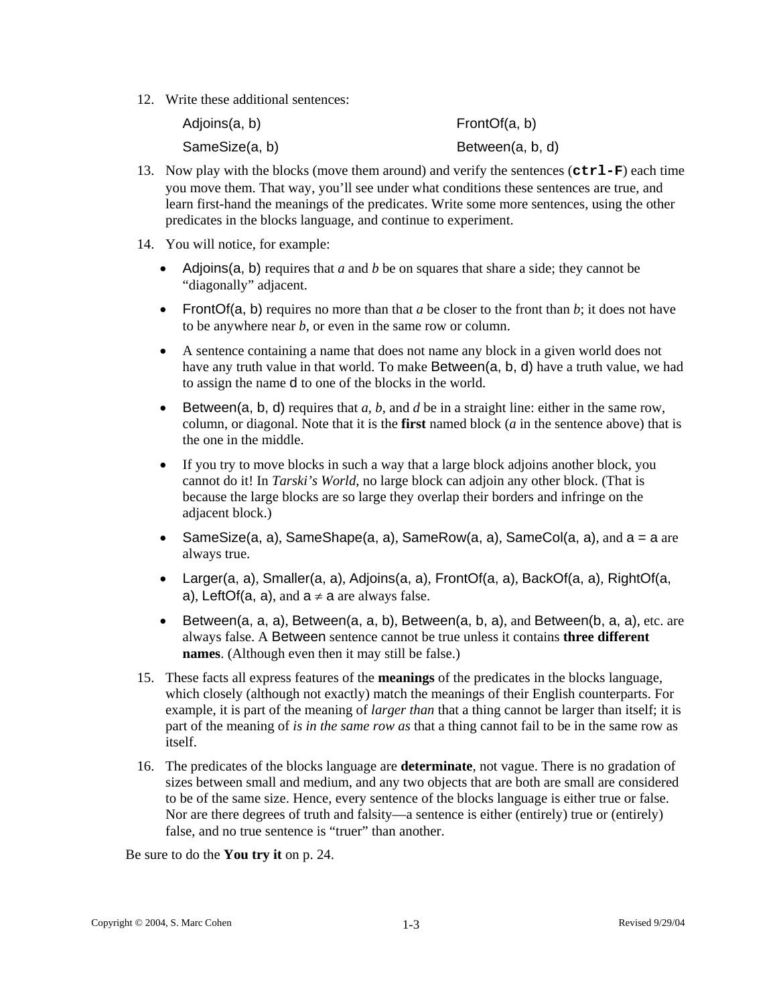12. Write these additional sentences:

| Adjoins(a, b)  | FrontOf $(a, b)$ |
|----------------|------------------|
| SameSize(a, b) | Between(a, b, d) |

- 13. Now play with the blocks (move them around) and verify the sentences (**ctrl-F**) each time you move them. That way, you'll see under what conditions these sentences are true, and learn first-hand the meanings of the predicates. Write some more sentences, using the other predicates in the blocks language, and continue to experiment.
- 14. You will notice, for example:
	- Adjoins(a, b) requires that *a* and *b* be on squares that share a side; they cannot be "diagonally" adjacent.
	- FrontOf(a, b) requires no more than that *a* be closer to the front than *b*; it does not have to be anywhere near *b*, or even in the same row or column.
	- A sentence containing a name that does not name any block in a given world does not have any truth value in that world. To make Between(a, b, d) have a truth value, we had to assign the name d to one of the blocks in the world.
	- Between( $a, b, d$ ) requires that  $a, b$ , and  $d$  be in a straight line: either in the same row, column, or diagonal. Note that it is the **first** named block (*a* in the sentence above) that is the one in the middle.
	- If you try to move blocks in such a way that a large block adjoins another block, you cannot do it! In *Tarski's World*, no large block can adjoin any other block. (That is because the large blocks are so large they overlap their borders and infringe on the adjacent block.)
	- SameSize(a, a), SameShape(a, a), SameRow(a, a), SameCol(a, a), and  $a = a$  are always true.
	- Larger(a, a), Smaller(a, a), Adjoins(a, a), FrontOf(a, a), BackOf(a, a), RightOf(a, a), LeftOf(a, a), and  $a \neq a$  are always false.
	- Between(a, a, a), Between(a, a, b), Between(a, b, a), and Between(b, a, a), etc. are always false. A Between sentence cannot be true unless it contains **three different names**. (Although even then it may still be false.)
- 15. These facts all express features of the **meanings** of the predicates in the blocks language, which closely (although not exactly) match the meanings of their English counterparts. For example, it is part of the meaning of *larger than* that a thing cannot be larger than itself; it is part of the meaning of *is in the same row as* that a thing cannot fail to be in the same row as itself.
- 16. The predicates of the blocks language are **determinate**, not vague. There is no gradation of sizes between small and medium, and any two objects that are both are small are considered to be of the same size. Hence, every sentence of the blocks language is either true or false. Nor are there degrees of truth and falsity—a sentence is either (entirely) true or (entirely) false, and no true sentence is "truer" than another.

Be sure to do the **You try it** on p. 24.